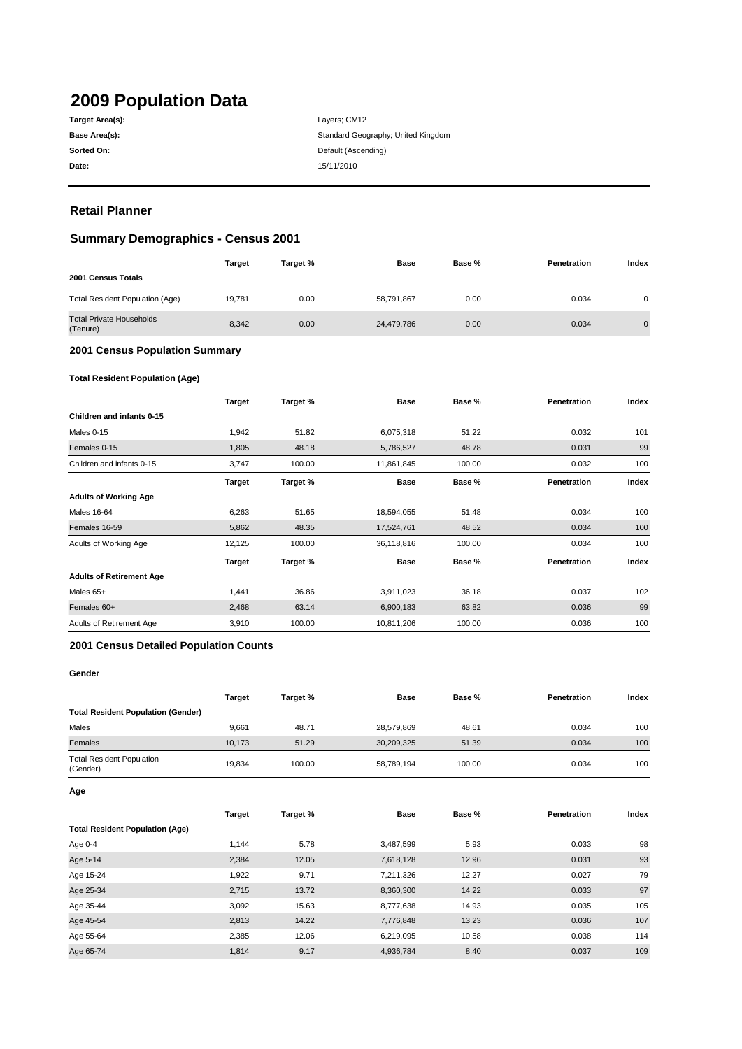# **2009 Population Data**

| Target Area(s): |
|-----------------|
| Base Area(s):   |
| Sorted On:      |
| Date:           |

**Date:** 15/11/2010 Layers; CM12 Standard Geography; United Kingdom **Default (Ascending)** 

# **Retail Planner**

# **Summary Demographics - Census 2001**

|                                             | <b>Target</b> | Target % | <b>Base</b> | Base % | Penetration | Index          |
|---------------------------------------------|---------------|----------|-------------|--------|-------------|----------------|
| 2001 Census Totals                          |               |          |             |        |             |                |
| Total Resident Population (Age)             | 19.781        | 0.00     | 58,791,867  | 0.00   | 0.034       | 0              |
| <b>Total Private Households</b><br>(Tenure) | 8,342         | 0.00     | 24,479,786  | 0.00   | 0.034       | $\overline{0}$ |

#### **2001 Census Population Summary**

#### **Total Resident Population (Age)**

|                                 | <b>Target</b> | Target % | <b>Base</b> | Base % | <b>Penetration</b> | Index |
|---------------------------------|---------------|----------|-------------|--------|--------------------|-------|
| Children and infants 0-15       |               |          |             |        |                    |       |
| Males 0-15                      | 1,942         | 51.82    | 6,075,318   | 51.22  | 0.032              | 101   |
| Females 0-15                    | 1,805         | 48.18    | 5,786,527   | 48.78  | 0.031              | 99    |
| Children and infants 0-15       | 3,747         | 100.00   | 11,861,845  | 100.00 | 0.032              | 100   |
|                                 | <b>Target</b> | Target % | <b>Base</b> | Base % | Penetration        | Index |
| <b>Adults of Working Age</b>    |               |          |             |        |                    |       |
| <b>Males 16-64</b>              | 6,263         | 51.65    | 18,594,055  | 51.48  | 0.034              | 100   |
| Females 16-59                   | 5,862         | 48.35    | 17,524,761  | 48.52  | 0.034              | 100   |
| Adults of Working Age           | 12,125        | 100.00   | 36,118,816  | 100.00 | 0.034              | 100   |
|                                 | <b>Target</b> | Target % | <b>Base</b> | Base % | Penetration        | Index |
| <b>Adults of Retirement Age</b> |               |          |             |        |                    |       |
| Males 65+                       | 1,441         | 36.86    | 3,911,023   | 36.18  | 0.037              | 102   |
| Females 60+                     | 2,468         | 63.14    | 6,900,183   | 63.82  | 0.036              | 99    |
| Adults of Retirement Age        | 3,910         | 100.00   | 10,811,206  | 100.00 | 0.036              | 100   |

#### **2001 Census Detailed Population Counts**

#### **Gender**

|                                              | Target | Target % | Base       | Base % | Penetration | Index |
|----------------------------------------------|--------|----------|------------|--------|-------------|-------|
| <b>Total Resident Population (Gender)</b>    |        |          |            |        |             |       |
| Males                                        | 9.661  | 48.71    | 28,579,869 | 48.61  | 0.034       | 100   |
| Females                                      | 10.173 | 51.29    | 30,209,325 | 51.39  | 0.034       | 100   |
| <b>Total Resident Population</b><br>(Gender) | 19.834 | 100.00   | 58,789,194 | 100.00 | 0.034       | 100   |

**Age**

|                                        | <b>Target</b> | Target % | <b>Base</b> | Base % | Penetration | Index |
|----------------------------------------|---------------|----------|-------------|--------|-------------|-------|
| <b>Total Resident Population (Age)</b> |               |          |             |        |             |       |
| Age 0-4                                | 1.144         | 5.78     | 3,487,599   | 5.93   | 0.033       | 98    |
| Age 5-14                               | 2,384         | 12.05    | 7,618,128   | 12.96  | 0.031       | 93    |
| Age 15-24                              | 1,922         | 9.71     | 7,211,326   | 12.27  | 0.027       | 79    |
| Age 25-34                              | 2,715         | 13.72    | 8,360,300   | 14.22  | 0.033       | 97    |
| Age 35-44                              | 3,092         | 15.63    | 8,777,638   | 14.93  | 0.035       | 105   |
| Age 45-54                              | 2,813         | 14.22    | 7,776,848   | 13.23  | 0.036       | 107   |
| Age 55-64                              | 2,385         | 12.06    | 6,219,095   | 10.58  | 0.038       | 114   |
| Age 65-74                              | 1.814         | 9.17     | 4,936,784   | 8.40   | 0.037       | 109   |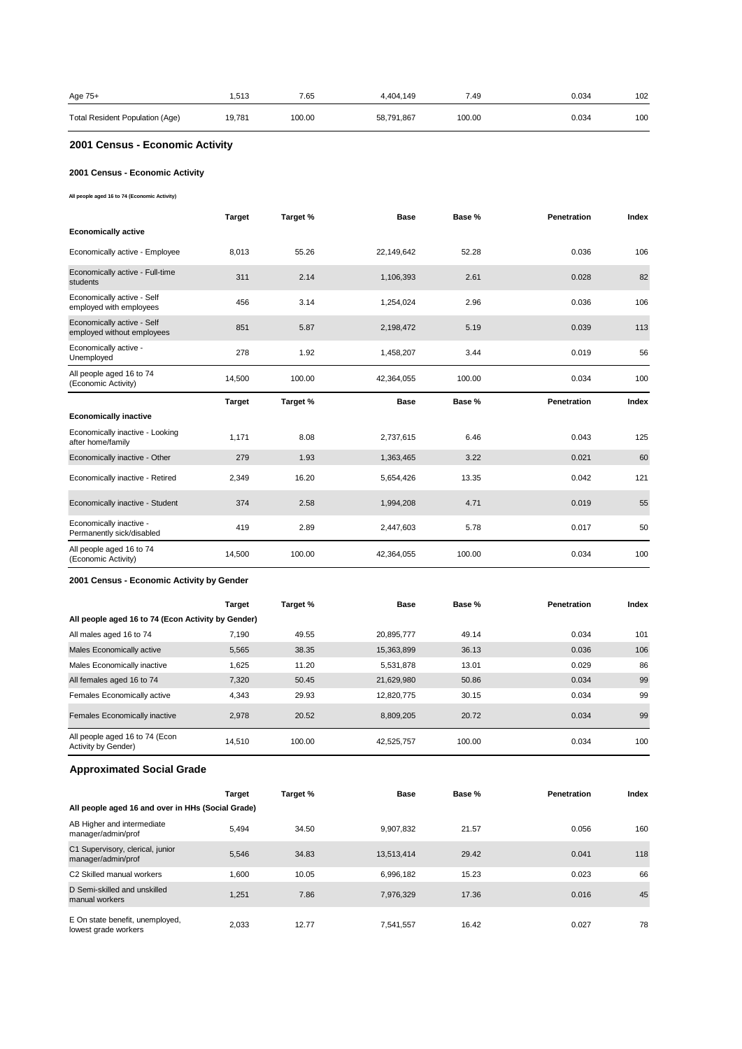| Age 75+                         | .513   | 7.65   | 4.404.149  | 7.49   | 0.034 | 102 |
|---------------------------------|--------|--------|------------|--------|-------|-----|
| Total Resident Population (Age) | 19,781 | 100.00 | 58,791,867 | 100.00 | 0.034 | 100 |

# **2001 Census - Economic Activity**

### **2001 Census - Economic Activity**

**All people aged 16 to 74 (Economic Activity)**

|                                                          | <b>Target</b> | Target % | <b>Base</b> | Base % | Penetration        | Index |
|----------------------------------------------------------|---------------|----------|-------------|--------|--------------------|-------|
| <b>Economically active</b>                               |               |          |             |        |                    |       |
| Economically active - Employee                           | 8,013         | 55.26    | 22,149,642  | 52.28  | 0.036              | 106   |
| Economically active - Full-time<br>students              | 311           | 2.14     | 1,106,393   | 2.61   | 0.028              | 82    |
| Economically active - Self<br>employed with employees    | 456           | 3.14     | 1,254,024   | 2.96   | 0.036              | 106   |
| Economically active - Self<br>employed without employees | 851           | 5.87     | 2,198,472   | 5.19   | 0.039              | 113   |
| Economically active -<br>Unemployed                      | 278           | 1.92     | 1,458,207   | 3.44   | 0.019              | 56    |
| All people aged 16 to 74<br>(Economic Activity)          | 14,500        | 100.00   | 42,364,055  | 100.00 | 0.034              | 100   |
|                                                          |               |          |             |        |                    |       |
|                                                          | <b>Target</b> | Target % | <b>Base</b> | Base % | <b>Penetration</b> | Index |
| <b>Economically inactive</b>                             |               |          |             |        |                    |       |
| Economically inactive - Looking<br>after home/family     | 1,171         | 8.08     | 2,737,615   | 6.46   | 0.043              | 125   |
| Economically inactive - Other                            | 279           | 1.93     | 1,363,465   | 3.22   | 0.021              | 60    |
| Economically inactive - Retired                          | 2,349         | 16.20    | 5,654,426   | 13.35  | 0.042              | 121   |
| Economically inactive - Student                          | 374           | 2.58     | 1,994,208   | 4.71   | 0.019              | 55    |
| Economically inactive -<br>Permanently sick/disabled     | 419           | 2.89     | 2,447,603   | 5.78   | 0.017              | 50    |

#### **2001 Census - Economic Activity by Gender**

|                                                       | <b>Target</b> | Target % | <b>Base</b> | Base % | Penetration | Index |
|-------------------------------------------------------|---------------|----------|-------------|--------|-------------|-------|
| All people aged 16 to 74 (Econ Activity by Gender)    |               |          |             |        |             |       |
| All males aged 16 to 74                               | 7.190         | 49.55    | 20.895.777  | 49.14  | 0.034       | 101   |
| Males Economically active                             | 5.565         | 38.35    | 15,363,899  | 36.13  | 0.036       | 106   |
| Males Economically inactive                           | 1,625         | 11.20    | 5,531,878   | 13.01  | 0.029       | 86    |
| All females aged 16 to 74                             | 7,320         | 50.45    | 21,629,980  | 50.86  | 0.034       | 99    |
| Females Economically active                           | 4.343         | 29.93    | 12.820.775  | 30.15  | 0.034       | 99    |
| Females Economically inactive                         | 2.978         | 20.52    | 8.809.205   | 20.72  | 0.034       | 99    |
| All people aged 16 to 74 (Econ<br>Activity by Gender) | 14.510        | 100.00   | 42,525,757  | 100.00 | 0.034       | 100   |

# **Approximated Social Grade**

|                                                         | <b>Target</b> | Target % | <b>Base</b> | Base % | <b>Penetration</b> | Index |
|---------------------------------------------------------|---------------|----------|-------------|--------|--------------------|-------|
| All people aged 16 and over in HHs (Social Grade)       |               |          |             |        |                    |       |
| AB Higher and intermediate<br>manager/admin/prof        | 5.494         | 34.50    | 9.907.832   | 21.57  | 0.056              | 160   |
| C1 Supervisory, clerical, junior<br>manager/admin/prof  | 5.546         | 34.83    | 13,513,414  | 29.42  | 0.041              | 118   |
| C2 Skilled manual workers                               | 1.600         | 10.05    | 6.996.182   | 15.23  | 0.023              | 66    |
| D Semi-skilled and unskilled<br>manual workers          | 1.251         | 7.86     | 7.976.329   | 17.36  | 0.016              | 45    |
| E On state benefit, unemployed,<br>lowest grade workers | 2.033         | 12.77    | 7.541.557   | 16.42  | 0.027              | 78    |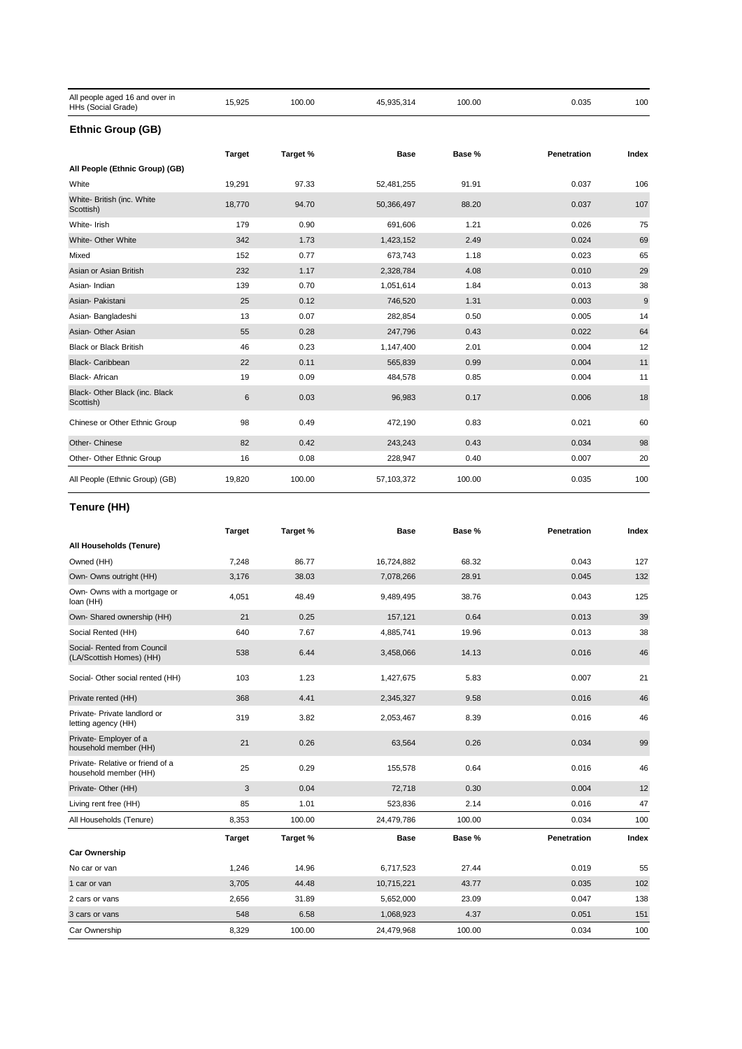| All people aged 16 and over in<br>HHs (Social Grade) | 15,925        | 100.00   | 45,935,314 | 100.00 | 0.035       | 100   |
|------------------------------------------------------|---------------|----------|------------|--------|-------------|-------|
| <b>Ethnic Group (GB)</b>                             |               |          |            |        |             |       |
|                                                      | <b>Target</b> | Target % | Base       | Base % | Penetration | Index |
| All People (Ethnic Group) (GB)                       |               |          |            |        |             |       |
| White                                                | 19,291        | 97.33    | 52,481,255 | 91.91  | 0.037       | 106   |
| White- British (inc. White<br>Scottish)              | 18,770        | 94.70    | 50,366,497 | 88.20  | 0.037       | 107   |
| White- Irish                                         | 179           | 0.90     | 691,606    | 1.21   | 0.026       | 75    |
| White- Other White                                   | 342           | 1.73     | 1,423,152  | 2.49   | 0.024       | 69    |
| Mixed                                                | 152           | 0.77     | 673,743    | 1.18   | 0.023       | 65    |
| Asian or Asian British                               | 232           | 1.17     | 2,328,784  | 4.08   | 0.010       | 29    |
| Asian-Indian                                         | 139           | 0.70     | 1,051,614  | 1.84   | 0.013       | 38    |
| Asian- Pakistani                                     | 25            | 0.12     | 746,520    | 1.31   | 0.003       | 9     |
| Asian- Bangladeshi                                   | 13            | 0.07     | 282,854    | 0.50   | 0.005       | 14    |
| Asian- Other Asian                                   | 55            | 0.28     | 247,796    | 0.43   | 0.022       | 64    |
| <b>Black or Black British</b>                        | 46            | 0.23     | 1,147,400  | 2.01   | 0.004       | 12    |
| <b>Black-Caribbean</b>                               | 22            | 0.11     | 565,839    | 0.99   | 0.004       | 11    |
| Black- African                                       | 19            | 0.09     | 484,578    | 0.85   | 0.004       | 11    |
| Black- Other Black (inc. Black<br>Scottish)          | 6             | 0.03     | 96,983     | 0.17   | 0.006       | 18    |
| Chinese or Other Ethnic Group                        | 98            | 0.49     | 472,190    | 0.83   | 0.021       | 60    |
| Other- Chinese                                       | 82            | 0.42     | 243,243    | 0.43   | 0.034       | 98    |
| Other- Other Ethnic Group                            | 16            | 0.08     | 228,947    | 0.40   | 0.007       | 20    |
| All People (Ethnic Group) (GB)                       | 19,820        | 100.00   | 57,103,372 | 100.00 | 0.035       | 100   |

# **Tenure (HH)**

|                                                          | <b>Target</b> | Target % | <b>Base</b> | Base % | Penetration | Index |
|----------------------------------------------------------|---------------|----------|-------------|--------|-------------|-------|
| All Households (Tenure)                                  |               |          |             |        |             |       |
| Owned (HH)                                               | 7,248         | 86.77    | 16,724,882  | 68.32  | 0.043       | 127   |
| Own- Owns outright (HH)                                  | 3,176         | 38.03    | 7,078,266   | 28.91  | 0.045       | 132   |
| Own- Owns with a mortgage or<br>loan (HH)                | 4,051         | 48.49    | 9,489,495   | 38.76  | 0.043       | 125   |
| Own- Shared ownership (HH)                               | 21            | 0.25     | 157,121     | 0.64   | 0.013       | 39    |
| Social Rented (HH)                                       | 640           | 7.67     | 4,885,741   | 19.96  | 0.013       | 38    |
| Social- Rented from Council<br>(LA/Scottish Homes) (HH)  | 538           | 6.44     | 3,458,066   | 14.13  | 0.016       | 46    |
| Social- Other social rented (HH)                         | 103           | 1.23     | 1,427,675   | 5.83   | 0.007       | 21    |
| Private rented (HH)                                      | 368           | 4.41     | 2,345,327   | 9.58   | 0.016       | 46    |
| Private- Private landlord or<br>letting agency (HH)      | 319           | 3.82     | 2,053,467   | 8.39   | 0.016       | 46    |
| Private- Employer of a<br>household member (HH)          | 21            | 0.26     | 63,564      | 0.26   | 0.034       | 99    |
| Private-Relative or friend of a<br>household member (HH) | 25            | 0.29     | 155,578     | 0.64   | 0.016       | 46    |
| Private- Other (HH)                                      | 3             | 0.04     | 72,718      | 0.30   | 0.004       | 12    |
| Living rent free (HH)                                    | 85            | 1.01     | 523,836     | 2.14   | 0.016       | 47    |
| All Households (Tenure)                                  | 8,353         | 100.00   | 24,479,786  | 100.00 | 0.034       | 100   |
|                                                          | <b>Target</b> | Target % | <b>Base</b> | Base % | Penetration | Index |
| <b>Car Ownership</b>                                     |               |          |             |        |             |       |
| No car or van                                            | 1,246         | 14.96    | 6,717,523   | 27.44  | 0.019       | 55    |
| 1 car or van                                             | 3,705         | 44.48    | 10,715,221  | 43.77  | 0.035       | 102   |
| 2 cars or vans                                           | 2,656         | 31.89    | 5,652,000   | 23.09  | 0.047       | 138   |
| 3 cars or vans                                           | 548           | 6.58     | 1,068,923   | 4.37   | 0.051       | 151   |
| Car Ownership                                            | 8,329         | 100.00   | 24,479,968  | 100.00 | 0.034       | 100   |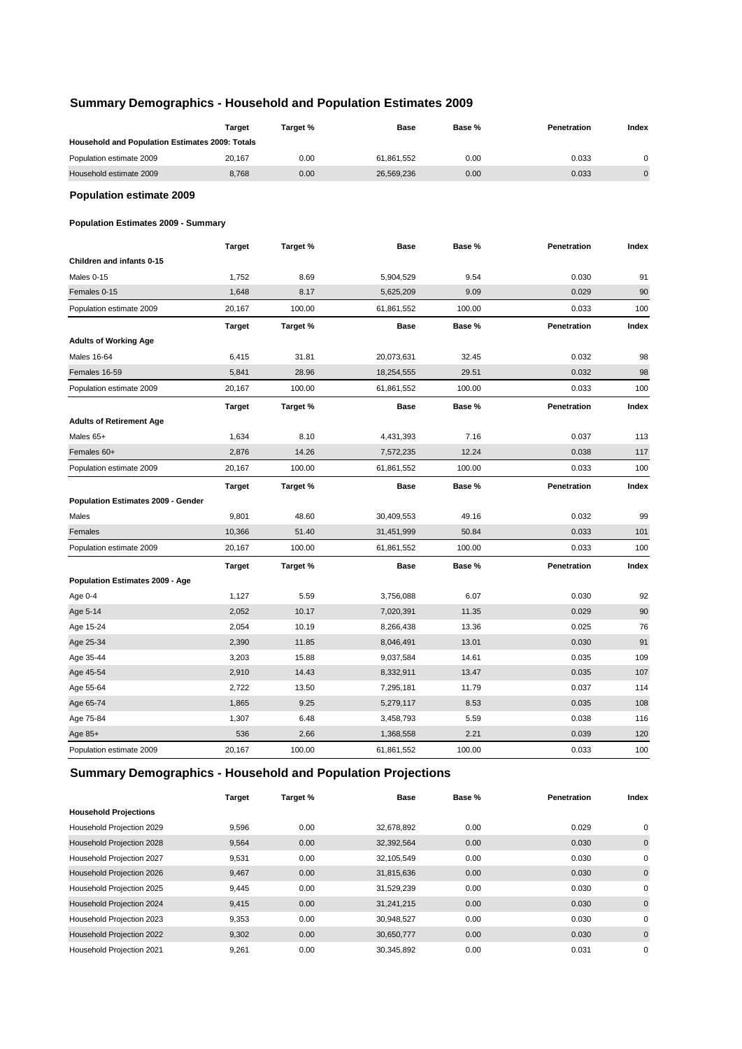# **Summary Demographics - Household and Population Estimates 2009**

|                                                 | <b>Target</b> | Target % | Base        | Base % | Penetration | Index       |
|-------------------------------------------------|---------------|----------|-------------|--------|-------------|-------------|
| Household and Population Estimates 2009: Totals |               |          |             |        |             |             |
| Population estimate 2009                        | 20,167        | 0.00     | 61,861,552  | 0.00   | 0.033       | $\mathbf 0$ |
| Household estimate 2009                         | 8,768         | 0.00     | 26,569,236  | 0.00   | 0.033       | $\pmb{0}$   |
| <b>Population estimate 2009</b>                 |               |          |             |        |             |             |
| <b>Population Estimates 2009 - Summary</b>      |               |          |             |        |             |             |
|                                                 | <b>Target</b> | Target % | <b>Base</b> | Base % | Penetration | Index       |
| Children and infants 0-15                       |               |          |             |        |             |             |
| Males 0-15                                      | 1,752         | 8.69     | 5,904,529   | 9.54   | 0.030       | 91          |
| Females 0-15                                    | 1,648         | 8.17     | 5,625,209   | 9.09   | 0.029       | 90          |
| Population estimate 2009                        | 20,167        | 100.00   | 61,861,552  | 100.00 | 0.033       | 100         |
|                                                 | <b>Target</b> | Target % | <b>Base</b> | Base % | Penetration | Index       |
| <b>Adults of Working Age</b>                    |               |          |             |        |             |             |
| <b>Males 16-64</b>                              | 6,415         | 31.81    | 20,073,631  | 32.45  | 0.032       | 98          |
| Females 16-59                                   | 5,841         | 28.96    | 18,254,555  | 29.51  | 0.032       | 98          |
| Population estimate 2009                        | 20,167        | 100.00   | 61,861,552  | 100.00 | 0.033       | 100         |
|                                                 | <b>Target</b> | Target % | <b>Base</b> | Base % | Penetration | Index       |
| <b>Adults of Retirement Age</b>                 |               |          |             |        |             |             |
| Males 65+                                       | 1,634         | 8.10     | 4,431,393   | 7.16   | 0.037       | 113         |
| Females 60+                                     | 2,876         | 14.26    | 7,572,235   | 12.24  | 0.038       | 117         |
| Population estimate 2009                        | 20,167        | 100.00   | 61,861,552  | 100.00 | 0.033       | 100         |
|                                                 | <b>Target</b> | Target % | <b>Base</b> | Base % | Penetration | Index       |
| Population Estimates 2009 - Gender              |               |          |             |        |             |             |
| Males                                           | 9,801         | 48.60    | 30,409,553  | 49.16  | 0.032       | 99          |
| Females                                         | 10,366        | 51.40    | 31,451,999  | 50.84  | 0.033       | 101         |
| Population estimate 2009                        | 20,167        | 100.00   | 61,861,552  | 100.00 | 0.033       | 100         |
|                                                 | <b>Target</b> | Target % | Base        | Base % | Penetration | Index       |
| Population Estimates 2009 - Age                 |               |          |             |        |             |             |
| Age 0-4                                         | 1,127         | 5.59     | 3,756,088   | 6.07   | 0.030       | 92          |
| Age 5-14                                        | 2,052         | 10.17    | 7,020,391   | 11.35  | 0.029       | 90          |
| Age 15-24                                       | 2,054         | 10.19    | 8,266,438   | 13.36  | 0.025       | 76          |
| Age 25-34                                       | 2,390         | 11.85    | 8,046,491   | 13.01  | 0.030       | 91          |
| Age 35-44                                       | 3,203         | 15.88    | 9,037,584   | 14.61  | 0.035       | 109         |
| Age 45-54                                       | 2,910         | 14.43    | 8,332,911   | 13.47  | 0.035       | 107         |
| Age 55-64                                       | 2,722         | 13.50    | 7,295,181   | 11.79  | 0.037       | 114         |
| Age 65-74                                       | 1,865         | 9.25     | 5,279,117   | 8.53   | 0.035       | 108         |
| Age 75-84                                       | 1,307         | 6.48     | 3,458,793   | 5.59   | 0.038       | 116         |
| Age $85+$                                       | 536           | 2.66     | 1,368,558   | 2.21   | 0.039       | 120         |
| Population estimate 2009                        | 20,167        | 100.00   | 61,861,552  | 100.00 | 0.033       | 100         |
|                                                 |               |          |             |        |             |             |

# **Summary Demographics - Household and Population Projections**

|                              | <b>Target</b> | Target % | <b>Base</b> | Base % | Penetration | Index       |
|------------------------------|---------------|----------|-------------|--------|-------------|-------------|
| <b>Household Projections</b> |               |          |             |        |             |             |
| Household Projection 2029    | 9,596         | 0.00     | 32,678,892  | 0.00   | 0.029       | 0           |
| Household Projection 2028    | 9,564         | 0.00     | 32,392,564  | 0.00   | 0.030       | $\mathbf 0$ |
| Household Projection 2027    | 9,531         | 0.00     | 32,105,549  | 0.00   | 0.030       | 0           |
| Household Projection 2026    | 9,467         | 0.00     | 31,815,636  | 0.00   | 0.030       | $\mathbf 0$ |
| Household Projection 2025    | 9,445         | 0.00     | 31,529,239  | 0.00   | 0.030       | 0           |
| Household Projection 2024    | 9,415         | 0.00     | 31,241,215  | 0.00   | 0.030       | $\mathbf 0$ |
| Household Projection 2023    | 9,353         | 0.00     | 30,948,527  | 0.00   | 0.030       | 0           |
| Household Projection 2022    | 9,302         | 0.00     | 30,650,777  | 0.00   | 0.030       | $\mathbf 0$ |
| Household Projection 2021    | 9,261         | 0.00     | 30,345,892  | 0.00   | 0.031       | 0           |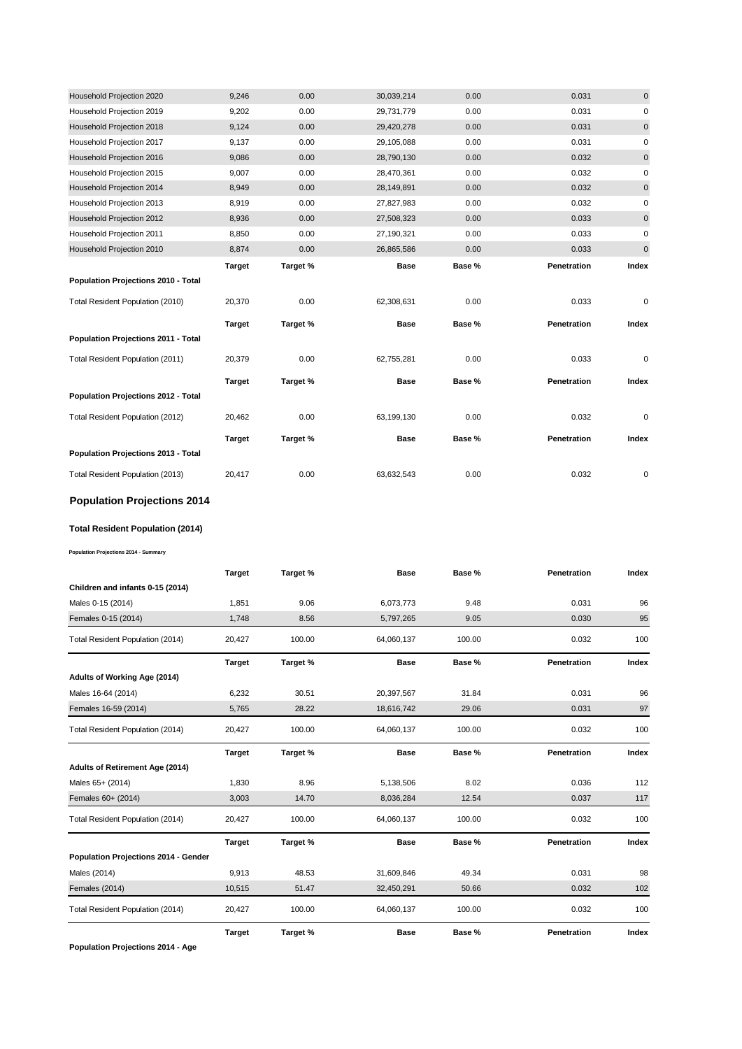| Household Projection 2020           | 9,246         | 0.00     | 30,039,214  | 0.00   | 0.031       | $\mathbf{0}$ |
|-------------------------------------|---------------|----------|-------------|--------|-------------|--------------|
| Household Projection 2019           | 9,202         | 0.00     | 29,731,779  | 0.00   | 0.031       | 0            |
| Household Projection 2018           | 9,124         | 0.00     | 29,420,278  | 0.00   | 0.031       | $\pmb{0}$    |
| Household Projection 2017           | 9,137         | 0.00     | 29,105,088  | 0.00   | 0.031       | 0            |
| Household Projection 2016           | 9,086         | 0.00     | 28,790,130  | 0.00   | 0.032       | $\mathbf 0$  |
| Household Projection 2015           | 9,007         | 0.00     | 28,470,361  | 0.00   | 0.032       | 0            |
| Household Projection 2014           | 8,949         | 0.00     | 28,149,891  | 0.00   | 0.032       | 0            |
| Household Projection 2013           | 8,919         | 0.00     | 27,827,983  | 0.00   | 0.032       | 0            |
| Household Projection 2012           | 8,936         | 0.00     | 27,508,323  | 0.00   | 0.033       | 0            |
| Household Projection 2011           | 8,850         | 0.00     | 27,190,321  | 0.00   | 0.033       | 0            |
| Household Projection 2010           | 8,874         | 0.00     | 26,865,586  | 0.00   | 0.033       | $\pmb{0}$    |
|                                     | <b>Target</b> | Target % | <b>Base</b> | Base % | Penetration | Index        |
| Population Projections 2010 - Total |               |          |             |        |             |              |
|                                     |               |          |             |        |             |              |
| Total Resident Population (2010)    | 20,370        | 0.00     | 62,308,631  | 0.00   | 0.033       | $\mathbf 0$  |
|                                     | <b>Target</b> | Target % | <b>Base</b> | Base % | Penetration | Index        |
| Population Projections 2011 - Total |               |          |             |        |             |              |
| Total Resident Population (2011)    | 20,379        | 0.00     | 62,755,281  | 0.00   | 0.033       | $\mathbf 0$  |
|                                     | <b>Target</b> | Target % | <b>Base</b> | Base % | Penetration | Index        |
| Population Projections 2012 - Total |               |          |             |        |             |              |
| Total Resident Population (2012)    | 20,462        | 0.00     | 63,199,130  | 0.00   | 0.032       | 0            |
|                                     | <b>Target</b> | Target % | <b>Base</b> | Base % | Penetration | Index        |
| Population Projections 2013 - Total |               |          |             |        |             |              |

# **Population Projections 2014**

#### **Total Resident Population (2014)**

**Population Projections 2014 - Summary**

|                                      | <b>Target</b> | Target % | <b>Base</b> | Base % | Penetration | Index |
|--------------------------------------|---------------|----------|-------------|--------|-------------|-------|
| Children and infants 0-15 (2014)     |               |          |             |        |             |       |
| Males 0-15 (2014)                    | 1,851         | 9.06     | 6,073,773   | 9.48   | 0.031       | 96    |
| Females 0-15 (2014)                  | 1,748         | 8.56     | 5,797,265   | 9.05   | 0.030       | 95    |
| Total Resident Population (2014)     | 20,427        | 100.00   | 64,060,137  | 100.00 | 0.032       | 100   |
|                                      | <b>Target</b> | Target % | <b>Base</b> | Base % | Penetration | Index |
| Adults of Working Age (2014)         |               |          |             |        |             |       |
| Males 16-64 (2014)                   | 6,232         | 30.51    | 20,397,567  | 31.84  | 0.031       | 96    |
| Females 16-59 (2014)                 | 5,765         | 28.22    | 18,616,742  | 29.06  | 0.031       | 97    |
| Total Resident Population (2014)     | 20,427        | 100.00   | 64,060,137  | 100.00 | 0.032       | 100   |
|                                      | <b>Target</b> | Target % | <b>Base</b> | Base % | Penetration | Index |
| Adults of Retirement Age (2014)      |               |          |             |        |             |       |
| Males 65+ (2014)                     | 1,830         | 8.96     | 5,138,506   | 8.02   | 0.036       | 112   |
| Females 60+ (2014)                   | 3,003         | 14.70    | 8,036,284   | 12.54  | 0.037       | 117   |
| Total Resident Population (2014)     | 20,427        | 100.00   | 64,060,137  | 100.00 | 0.032       | 100   |
|                                      | <b>Target</b> | Target % | <b>Base</b> | Base % | Penetration | Index |
| Population Projections 2014 - Gender |               |          |             |        |             |       |
| Males (2014)                         | 9,913         | 48.53    | 31,609,846  | 49.34  | 0.031       | 98    |
| Females (2014)                       | 10,515        | 51.47    | 32,450,291  | 50.66  | 0.032       | 102   |
| Total Resident Population (2014)     | 20,427        | 100.00   | 64,060,137  | 100.00 | 0.032       | 100   |
|                                      | <b>Target</b> | Target % | <b>Base</b> | Base % | Penetration | Index |

**Population Projections 2014 - Age**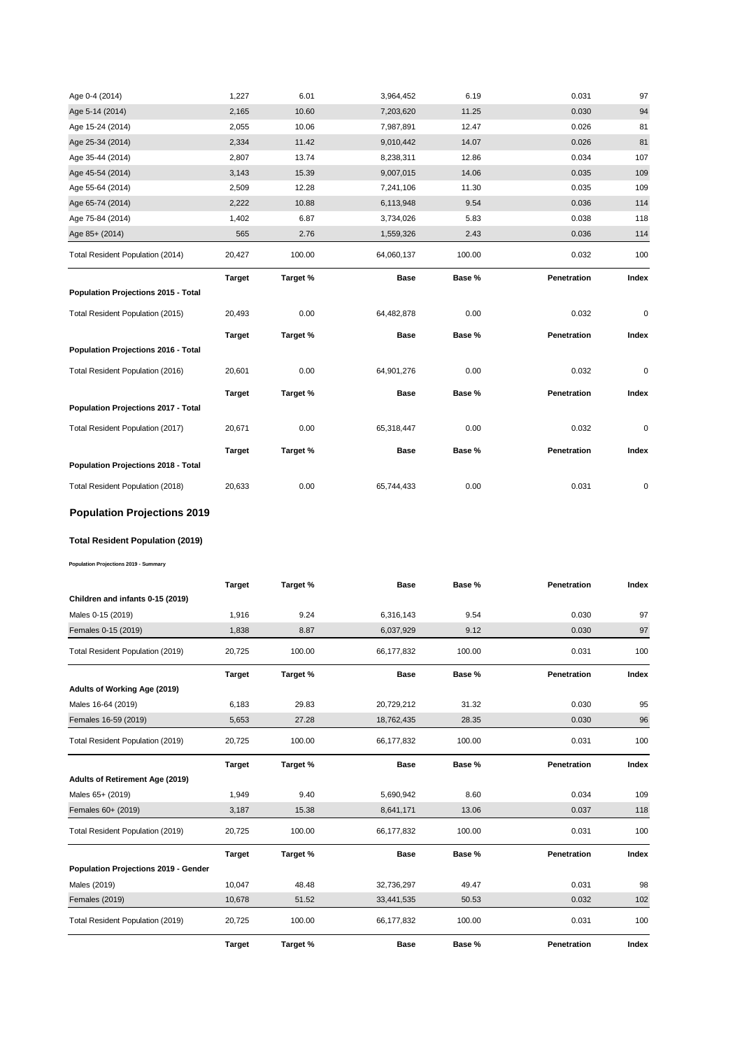| Age 0-4 (2014)                      | 1,227         | 6.01     | 3,964,452   | 6.19   | 0.031       | 97    |
|-------------------------------------|---------------|----------|-------------|--------|-------------|-------|
| Age 5-14 (2014)                     | 2,165         | 10.60    | 7,203,620   | 11.25  | 0.030       | 94    |
| Age 15-24 (2014)                    | 2,055         | 10.06    | 7,987,891   | 12.47  | 0.026       | 81    |
| Age 25-34 (2014)                    | 2,334         | 11.42    | 9,010,442   | 14.07  | 0.026       | 81    |
| Age 35-44 (2014)                    | 2,807         | 13.74    | 8,238,311   | 12.86  | 0.034       | 107   |
| Age 45-54 (2014)                    | 3,143         | 15.39    | 9,007,015   | 14.06  | 0.035       | 109   |
| Age 55-64 (2014)                    | 2,509         | 12.28    | 7,241,106   | 11.30  | 0.035       | 109   |
| Age 65-74 (2014)                    | 2,222         | 10.88    | 6,113,948   | 9.54   | 0.036       | 114   |
| Age 75-84 (2014)                    | 1,402         | 6.87     | 3,734,026   | 5.83   | 0.038       | 118   |
| Age 85+ (2014)                      | 565           | 2.76     | 1,559,326   | 2.43   | 0.036       | 114   |
| Total Resident Population (2014)    | 20,427        | 100.00   | 64,060,137  | 100.00 | 0.032       | 100   |
|                                     | <b>Target</b> | Target % | <b>Base</b> | Base % | Penetration | Index |
| Population Projections 2015 - Total |               |          |             |        |             |       |
|                                     |               |          |             |        |             |       |
| Total Resident Population (2015)    | 20,493        | 0.00     | 64,482,878  | 0.00   | 0.032       | 0     |
|                                     | <b>Target</b> | Target % | <b>Base</b> | Base % | Penetration | Index |
| Population Projections 2016 - Total |               |          |             |        |             |       |
| Total Resident Population (2016)    | 20,601        | 0.00     | 64,901,276  | 0.00   | 0.032       | 0     |
|                                     | <b>Target</b> | Target % | <b>Base</b> | Base % | Penetration | Index |
| Population Projections 2017 - Total |               |          |             |        |             |       |
| Total Resident Population (2017)    | 20,671        | 0.00     | 65,318,447  | 0.00   | 0.032       | 0     |
|                                     | <b>Target</b> | Target % | <b>Base</b> | Base % | Penetration | Index |
| Population Projections 2018 - Total |               |          |             |        |             |       |

# **Population Projections 2019**

# **Total Resident Population (2019)**

**Population Projections 2019 - Summary**

|                                      | <b>Target</b> | Target % | <b>Base</b> | Base % | Penetration | Index |
|--------------------------------------|---------------|----------|-------------|--------|-------------|-------|
| Children and infants 0-15 (2019)     |               |          |             |        |             |       |
| Males 0-15 (2019)                    | 1,916         | 9.24     | 6,316,143   | 9.54   | 0.030       | 97    |
| Females 0-15 (2019)                  | 1,838         | 8.87     | 6,037,929   | 9.12   | 0.030       | 97    |
| Total Resident Population (2019)     | 20,725        | 100.00   | 66,177,832  | 100.00 | 0.031       | 100   |
|                                      | <b>Target</b> | Target % | <b>Base</b> | Base % | Penetration | Index |
| Adults of Working Age (2019)         |               |          |             |        |             |       |
| Males 16-64 (2019)                   | 6,183         | 29.83    | 20,729,212  | 31.32  | 0.030       | 95    |
| Females 16-59 (2019)                 | 5,653         | 27.28    | 18,762,435  | 28.35  | 0.030       | 96    |
| Total Resident Population (2019)     | 20,725        | 100.00   | 66,177,832  | 100.00 | 0.031       | 100   |
|                                      | <b>Target</b> | Target % | <b>Base</b> | Base % | Penetration | Index |
| Adults of Retirement Age (2019)      |               |          |             |        |             |       |
| Males 65+ (2019)                     | 1,949         | 9.40     | 5,690,942   | 8.60   | 0.034       | 109   |
| Females 60+ (2019)                   | 3,187         | 15.38    | 8,641,171   | 13.06  | 0.037       | 118   |
| Total Resident Population (2019)     | 20,725        | 100.00   | 66,177,832  | 100.00 | 0.031       | 100   |
|                                      | <b>Target</b> | Target % | <b>Base</b> | Base % | Penetration | Index |
| Population Projections 2019 - Gender |               |          |             |        |             |       |
| Males (2019)                         | 10,047        | 48.48    | 32,736,297  | 49.47  | 0.031       | 98    |
| <b>Females (2019)</b>                | 10,678        | 51.52    | 33,441,535  | 50.53  | 0.032       | 102   |
| Total Resident Population (2019)     | 20,725        | 100.00   | 66,177,832  | 100.00 | 0.031       | 100   |
|                                      | <b>Target</b> | Target % | <b>Base</b> | Base % | Penetration | Index |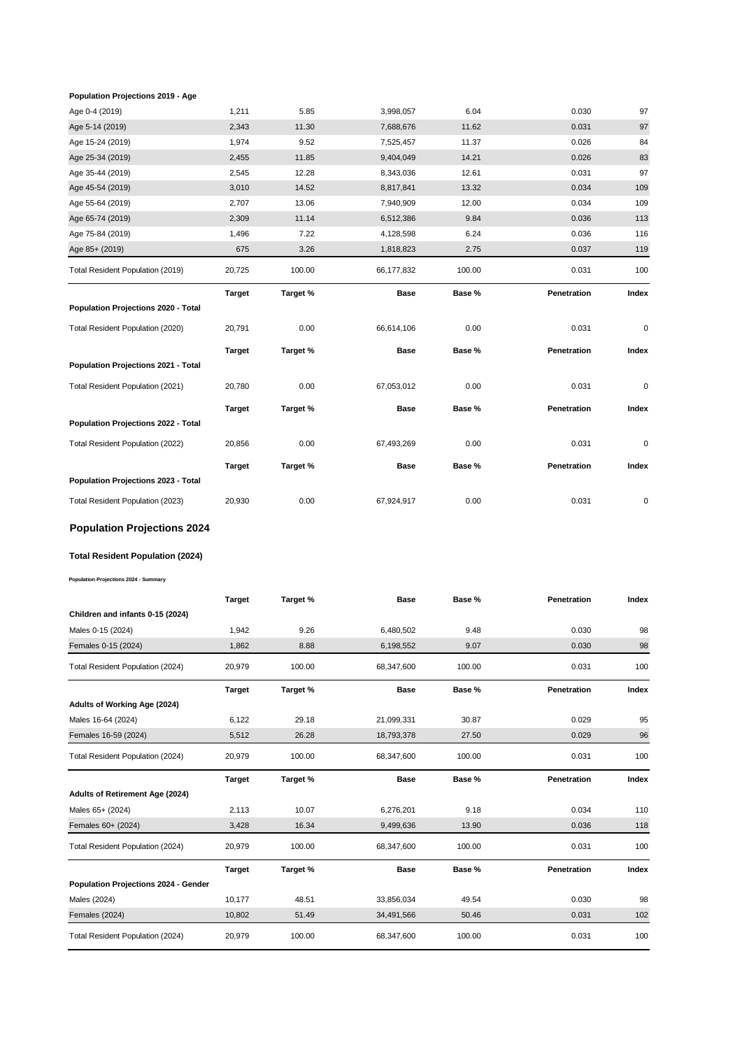#### **Population Projections 2019 - Age**

| Age 0-4 (2019)                      | 1,211         | 5.85     | 3,998,057   | 6.04   | 0.030       | 97        |
|-------------------------------------|---------------|----------|-------------|--------|-------------|-----------|
| Age 5-14 (2019)                     | 2,343         | 11.30    | 7,688,676   | 11.62  | 0.031       | 97        |
| Age 15-24 (2019)                    | 1,974         | 9.52     | 7,525,457   | 11.37  | 0.026       | 84        |
| Age 25-34 (2019)                    | 2,455         | 11.85    | 9,404,049   | 14.21  | 0.026       | 83        |
| Age 35-44 (2019)                    | 2,545         | 12.28    | 8,343,036   | 12.61  | 0.031       | 97        |
| Age 45-54 (2019)                    | 3,010         | 14.52    | 8,817,841   | 13.32  | 0.034       | 109       |
| Age 55-64 (2019)                    | 2,707         | 13.06    | 7,940,909   | 12.00  | 0.034       | 109       |
| Age 65-74 (2019)                    | 2,309         | 11.14    | 6,512,386   | 9.84   | 0.036       | 113       |
| Age 75-84 (2019)                    | 1,496         | 7.22     | 4,128,598   | 6.24   | 0.036       | 116       |
| Age 85+ (2019)                      | 675           | 3.26     | 1,818,823   | 2.75   | 0.037       | 119       |
| Total Resident Population (2019)    | 20,725        | 100.00   | 66,177,832  | 100.00 | 0.031       | 100       |
|                                     | <b>Target</b> | Target % | <b>Base</b> | Base % | Penetration | Index     |
| Population Projections 2020 - Total |               |          |             |        |             |           |
| Total Resident Population (2020)    | 20,791        | 0.00     | 66,614,106  | 0.00   | 0.031       | $\pmb{0}$ |
|                                     | <b>Target</b> | Target % | <b>Base</b> | Base % | Penetration | Index     |
| Population Projections 2021 - Total |               |          |             |        |             |           |
| Total Resident Population (2021)    | 20,780        | 0.00     | 67,053,012  | 0.00   | 0.031       | $\pmb{0}$ |
|                                     | <b>Target</b> | Target % | <b>Base</b> | Base % | Penetration | Index     |
| Population Projections 2022 - Total |               |          |             |        |             |           |
| Total Resident Population (2022)    | 20,856        | 0.00     | 67,493,269  | 0.00   | 0.031       | 0         |
|                                     | <b>Target</b> | Target % | <b>Base</b> | Base % | Penetration | Index     |
| Population Projections 2023 - Total |               |          |             |        |             |           |
| Total Resident Population (2023)    | 20,930        | 0.00     | 67,924,917  | 0.00   | 0.031       | 0         |
| <b>Population Projections 2024</b>  |               |          |             |        |             |           |
|                                     |               |          |             |        |             |           |

#### **Total Resident Population (2024)**

**Population Projections 2024 - Summary**

|                                      | <b>Target</b> | Target % | <b>Base</b> | Base % | Penetration | Index |
|--------------------------------------|---------------|----------|-------------|--------|-------------|-------|
| Children and infants 0-15 (2024)     |               |          |             |        |             |       |
| Males 0-15 (2024)                    | 1,942         | 9.26     | 6,480,502   | 9.48   | 0.030       | 98    |
| Females 0-15 (2024)                  | 1,862         | 8.88     | 6,198,552   | 9.07   | 0.030       | 98    |
| Total Resident Population (2024)     | 20,979        | 100.00   | 68,347,600  | 100.00 | 0.031       | 100   |
|                                      | <b>Target</b> | Target % | <b>Base</b> | Base % | Penetration | Index |
| Adults of Working Age (2024)         |               |          |             |        |             |       |
| Males 16-64 (2024)                   | 6,122         | 29.18    | 21,099,331  | 30.87  | 0.029       | 95    |
| Females 16-59 (2024)                 | 5,512         | 26.28    | 18,793,378  | 27.50  | 0.029       | 96    |
| Total Resident Population (2024)     | 20,979        | 100.00   | 68,347,600  | 100.00 | 0.031       | 100   |
|                                      |               |          |             |        |             |       |
|                                      | <b>Target</b> | Target % | <b>Base</b> | Base % | Penetration | Index |
| Adults of Retirement Age (2024)      |               |          |             |        |             |       |
| Males 65+ (2024)                     | 2,113         | 10.07    | 6,276,201   | 9.18   | 0.034       | 110   |
| Females 60+ (2024)                   | 3,428         | 16.34    | 9,499,636   | 13.90  | 0.036       | 118   |
| Total Resident Population (2024)     | 20,979        | 100.00   | 68,347,600  | 100.00 | 0.031       | 100   |
|                                      | <b>Target</b> | Target % | <b>Base</b> | Base % | Penetration | Index |
| Population Projections 2024 - Gender |               |          |             |        |             |       |
| Males (2024)                         | 10,177        | 48.51    | 33,856,034  | 49.54  | 0.030       | 98    |
| Females (2024)                       | 10,802        | 51.49    | 34,491,566  | 50.46  | 0.031       | 102   |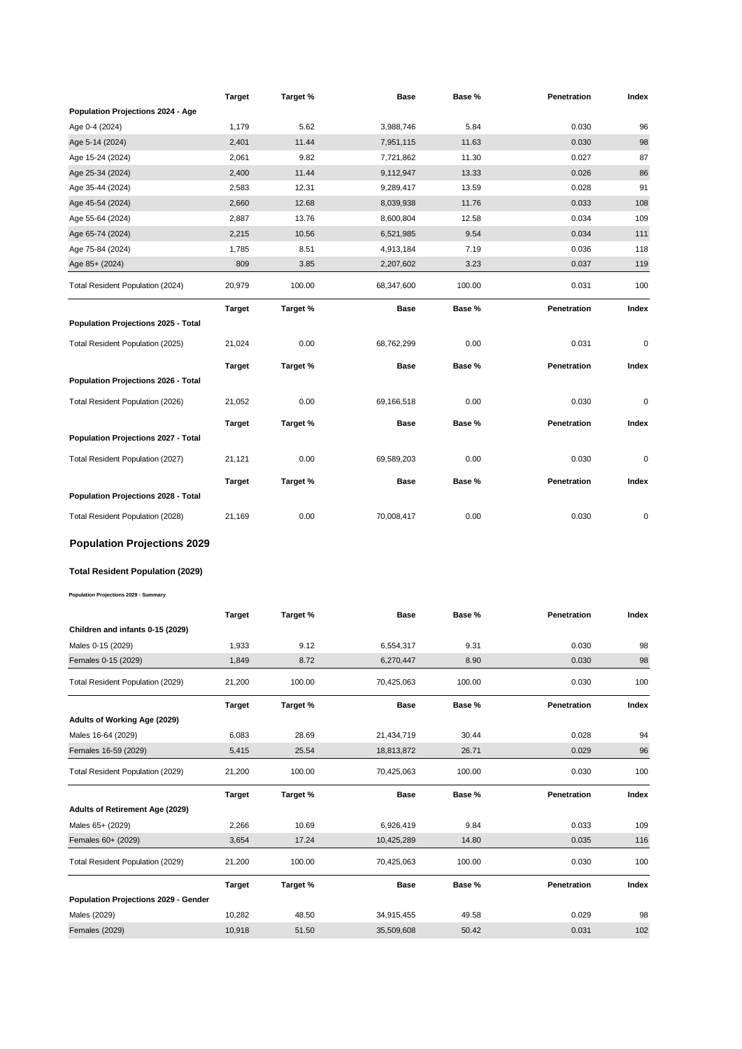|                                            | <b>Target</b> | Target % | Base        | Base % | Penetration | Index |
|--------------------------------------------|---------------|----------|-------------|--------|-------------|-------|
| Population Projections 2024 - Age          |               |          |             |        |             |       |
| Age 0-4 (2024)                             | 1,179         | 5.62     | 3,988,746   | 5.84   | 0.030       | 96    |
| Age 5-14 (2024)                            | 2,401         | 11.44    | 7,951,115   | 11.63  | 0.030       | 98    |
| Age 15-24 (2024)                           | 2,061         | 9.82     | 7,721,862   | 11.30  | 0.027       | 87    |
| Age 25-34 (2024)                           | 2,400         | 11.44    | 9,112,947   | 13.33  | 0.026       | 86    |
| Age 35-44 (2024)                           | 2,583         | 12.31    | 9,289,417   | 13.59  | 0.028       | 91    |
| Age 45-54 (2024)                           | 2,660         | 12.68    | 8,039,938   | 11.76  | 0.033       | 108   |
| Age 55-64 (2024)                           | 2,887         | 13.76    | 8,600,804   | 12.58  | 0.034       | 109   |
| Age 65-74 (2024)                           | 2,215         | 10.56    | 6,521,985   | 9.54   | 0.034       | 111   |
| Age 75-84 (2024)                           | 1,785         | 8.51     | 4,913,184   | 7.19   | 0.036       | 118   |
| Age 85+ (2024)                             | 809           | 3.85     | 2,207,602   | 3.23   | 0.037       | 119   |
| Total Resident Population (2024)           | 20,979        | 100.00   | 68,347,600  | 100.00 | 0.031       | 100   |
|                                            | Target        | Target % | Base        | Base % | Penetration | Index |
| Population Projections 2025 - Total        |               |          |             |        |             |       |
|                                            |               |          |             |        |             |       |
| Total Resident Population (2025)           | 21,024        | 0.00     | 68,762,299  | 0.00   | 0.031       | 0     |
|                                            | <b>Target</b> | Target % | Base        | Base % | Penetration | Index |
| Population Projections 2026 - Total        |               |          |             |        |             |       |
| Total Resident Population (2026)           | 21,052        | 0.00     | 69,166,518  | 0.00   | 0.030       | 0     |
|                                            | Target        | Target % | <b>Base</b> | Base % | Penetration | Index |
| Population Projections 2027 - Total        |               |          |             |        |             |       |
|                                            |               |          |             |        |             |       |
| Total Resident Population (2027)           | 21,121        | 0.00     | 69,589,203  | 0.00   | 0.030       | 0     |
|                                            | Target        | Target % | Base        | Base % | Penetration | Index |
| <b>Population Projections 2028 - Total</b> |               |          |             |        |             |       |
| Total Resident Population (2028)           | 21,169        | 0.00     | 70,008,417  | 0.00   | 0.030       | 0     |
| <b>Population Projections 2029</b>         |               |          |             |        |             |       |
| Total Resident Population (2029)           |               |          |             |        |             |       |
|                                            |               |          |             |        |             |       |
| Population Projections 2029 - Summary      |               |          |             |        |             |       |
|                                            | Target        | Target % | Base        | Base % | Penetration | Index |
| Children and infants 0-15 (2029)           |               |          |             |        |             |       |
| Males 0-15 (2029)                          | 1,933         | 9.12     | 6,554,317   | 9.31   | 0.030       | 98    |
| Females 0-15 (2029)                        | 1,849         | 8.72     | 6,270,447   | 8.90   | 0.030       | 98    |
| Total Resident Population (2029)           | 21,200        | 100.00   | 70,425,063  | 100.00 | 0.030       | 100   |
|                                            |               |          |             |        |             |       |
|                                            | <b>Target</b> | Target % | <b>Base</b> | Base % | Penetration | Index |
| Adults of Working Age (2029)               |               |          |             |        |             |       |
| Males 16-64 (2029)                         | 6,083         | 28.69    | 21,434,719  | 30.44  | 0.028       | 94    |
| Females 16-59 (2029)                       | 5,415         | 25.54    | 18,813,872  | 26.71  | 0.029       | 96    |
| Total Resident Population (2029)           | 21,200        | 100.00   | 70,425,063  | 100.00 | 0.030       | 100   |
|                                            | Target        | Target % | Base        | Base % | Penetration | Index |
| Adults of Retirement Age (2029)            |               |          |             |        |             |       |
| Males 65+ (2029)                           | 2,266         | 10.69    | 6,926,419   | 9.84   | 0.033       | 109   |
| Females 60+ (2029)                         | 3,654         | 17.24    | 10,425,289  | 14.80  | 0.035       | 116   |
| Total Resident Population (2029)           | 21,200        | 100.00   | 70,425,063  | 100.00 | 0.030       | 100   |
|                                            | Target        | Target % | <b>Base</b> | Base % | Penetration | Index |
| Population Projections 2029 - Gender       |               |          |             |        |             |       |
|                                            |               |          |             |        |             |       |
| Males (2029)                               | 10,282        | 48.50    | 34,915,455  | 49.58  | 0.029       | 98    |
| <b>Females (2029)</b>                      | 10,918        | 51.50    | 35,509,608  | 50.42  | 0.031       | 102   |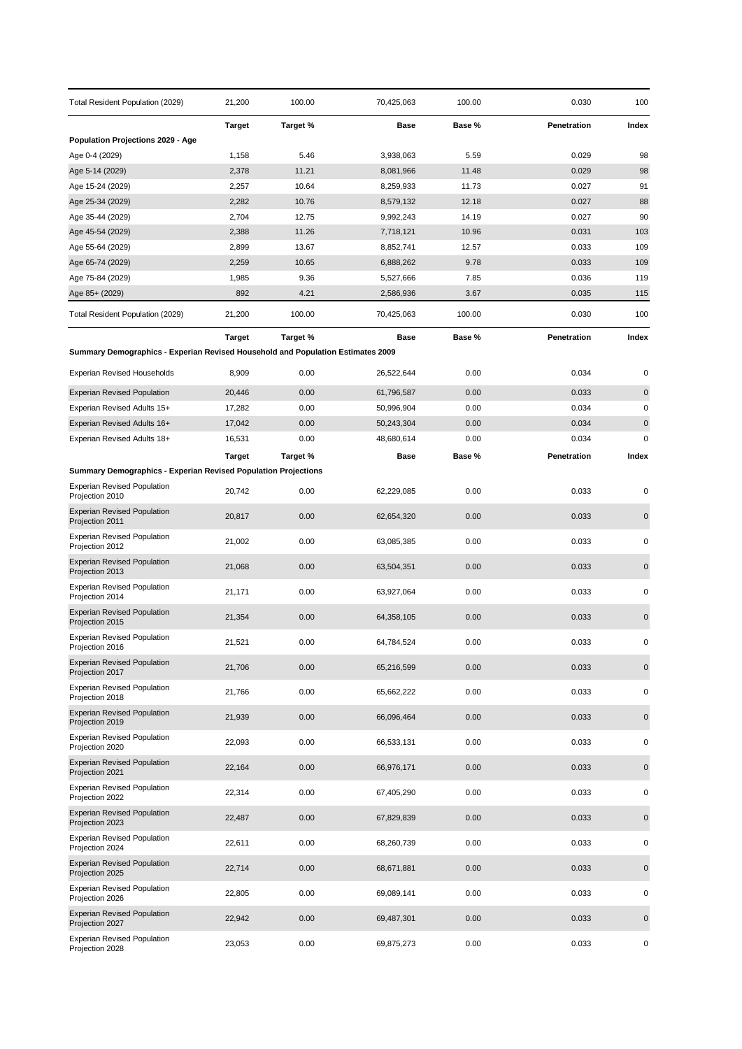| Total Resident Population (2029)                                                | 21,200        | 100.00       | 70,425,063             | 100.00       | 0.030          | 100         |
|---------------------------------------------------------------------------------|---------------|--------------|------------------------|--------------|----------------|-------------|
|                                                                                 | <b>Target</b> | Target %     | Base                   | Base %       | Penetration    | Index       |
| <b>Population Projections 2029 - Age</b>                                        |               |              |                        |              |                |             |
| Age 0-4 (2029)                                                                  | 1,158         | 5.46         | 3,938,063              | 5.59         | 0.029          | 98          |
| Age 5-14 (2029)                                                                 | 2,378         | 11.21        | 8,081,966              | 11.48        | 0.029          | 98          |
| Age 15-24 (2029)                                                                | 2,257         | 10.64        | 8,259,933              | 11.73        | 0.027          | 91          |
| Age 25-34 (2029)                                                                | 2,282         | 10.76        | 8,579,132              | 12.18        | 0.027          | 88          |
| Age 35-44 (2029)                                                                | 2,704         | 12.75        | 9,992,243              | 14.19        | 0.027          | 90          |
| Age 45-54 (2029)                                                                | 2,388         | 11.26        | 7,718,121              | 10.96        | 0.031          | 103<br>109  |
| Age 55-64 (2029)                                                                | 2,899         | 13.67        | 8,852,741              | 12.57        | 0.033          |             |
| Age 65-74 (2029)                                                                | 2,259         | 10.65        | 6,888,262              | 9.78         | 0.033          | 109<br>119  |
| Age 75-84 (2029)                                                                | 1,985<br>892  | 9.36<br>4.21 | 5,527,666<br>2,586,936 | 7.85<br>3.67 | 0.036<br>0.035 | 115         |
| Age 85+ (2029)                                                                  |               |              |                        |              |                |             |
| Total Resident Population (2029)                                                | 21,200        | 100.00       | 70,425,063             | 100.00       | 0.030          | 100         |
|                                                                                 | <b>Target</b> | Target %     | Base                   | Base %       | Penetration    | Index       |
| Summary Demographics - Experian Revised Household and Population Estimates 2009 |               |              |                        |              |                |             |
| <b>Experian Revised Households</b>                                              | 8,909         | 0.00         | 26,522,644             | 0.00         | 0.034          | 0           |
| <b>Experian Revised Population</b>                                              | 20,446        | 0.00         | 61,796,587             | 0.00         | 0.033          | $\mathbf 0$ |
| Experian Revised Adults 15+                                                     | 17,282        | 0.00         | 50,996,904             | 0.00         | 0.034          | $\pmb{0}$   |
| Experian Revised Adults 16+                                                     | 17,042        | 0.00         | 50,243,304             | 0.00         | 0.034          | $\pmb{0}$   |
| Experian Revised Adults 18+                                                     | 16,531        | 0.00         | 48,680,614             | 0.00         | 0.034          | $\mathbf 0$ |
|                                                                                 | <b>Target</b> | Target %     | Base                   | Base %       | Penetration    | Index       |
| <b>Summary Demographics - Experian Revised Population Projections</b>           |               |              |                        |              |                |             |
| <b>Experian Revised Population</b><br>Projection 2010                           | 20,742        | 0.00         | 62,229,085             | 0.00         | 0.033          | 0           |
| <b>Experian Revised Population</b><br>Projection 2011                           | 20,817        | 0.00         | 62,654,320             | 0.00         | 0.033          | $\mathbf 0$ |
| <b>Experian Revised Population</b><br>Projection 2012                           | 21,002        | 0.00         | 63,085,385             | 0.00         | 0.033          | 0           |
| <b>Experian Revised Population</b><br>Projection 2013                           | 21,068        | 0.00         | 63,504,351             | 0.00         | 0.033          | $\pmb{0}$   |
| <b>Experian Revised Population</b><br>Projection 2014                           | 21,171        | 0.00         | 63,927,064             | 0.00         | 0.033          | 0           |
| <b>Experian Revised Population</b><br>Projection 2015                           | 21,354        | 0.00         | 64,358,105             | 0.00         | 0.033          | $\mathbf 0$ |
| <b>Experian Revised Population</b><br>Projection 2016                           | 21,521        | 0.00         | 64,784,524             | 0.00         | 0.033          | 0           |
| <b>Experian Revised Population</b><br>Projection 2017                           | 21,706        | 0.00         | 65,216,599             | 0.00         | 0.033          | $\pmb{0}$   |
| <b>Experian Revised Population</b><br>Projection 2018                           | 21,766        | 0.00         | 65,662,222             | 0.00         | 0.033          | 0           |
| <b>Experian Revised Population</b><br>Projection 2019                           | 21,939        | 0.00         | 66,096,464             | 0.00         | 0.033          | $\pmb{0}$   |
| <b>Experian Revised Population</b><br>Projection 2020                           | 22,093        | 0.00         | 66,533,131             | 0.00         | 0.033          | 0           |
| <b>Experian Revised Population</b><br>Projection 2021                           | 22,164        | 0.00         | 66,976,171             | 0.00         | 0.033          | $\pmb{0}$   |
| <b>Experian Revised Population</b><br>Projection 2022                           | 22,314        | 0.00         | 67,405,290             | 0.00         | 0.033          | 0           |
| <b>Experian Revised Population</b><br>Projection 2023                           | 22,487        | 0.00         | 67,829,839             | 0.00         | 0.033          | $\mathbf 0$ |
| <b>Experian Revised Population</b><br>Projection 2024                           | 22,611        | 0.00         | 68,260,739             | 0.00         | 0.033          | $\pmb{0}$   |
| <b>Experian Revised Population</b><br>Projection 2025                           | 22,714        | 0.00         | 68,671,881             | 0.00         | 0.033          | $\mathbf 0$ |
| <b>Experian Revised Population</b><br>Projection 2026                           | 22,805        | 0.00         | 69,089,141             | 0.00         | 0.033          | 0           |
| <b>Experian Revised Population</b><br>Projection 2027                           | 22,942        | 0.00         | 69,487,301             | 0.00         | 0.033          | $\mathbf 0$ |
| <b>Experian Revised Population</b><br>Projection 2028                           | 23,053        | 0.00         | 69,875,273             | 0.00         | 0.033          | 0           |